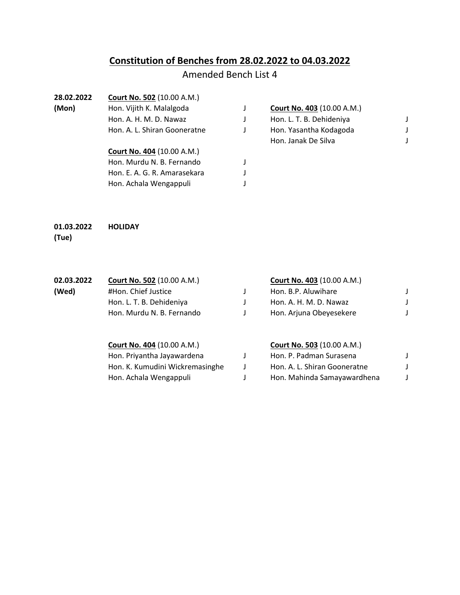# **Constitution of Benches from 28.02.2022 to 04.03.2022**

# Amended Bench List 4

| 28.02.2022 | Court No. 502 (10.00 A.M.)        |   |                                   |  |
|------------|-----------------------------------|---|-----------------------------------|--|
| (Mon)      | Hon. Vijith K. Malalgoda          |   | <b>Court No. 403 (10.00 A.M.)</b> |  |
|            | Hon. A. H. M. D. Nawaz            | J | Hon. L. T. B. Dehideniya          |  |
|            | Hon. A. L. Shiran Gooneratne      | J | Hon. Yasantha Kodagoda            |  |
|            |                                   |   | Hon. Janak De Silva               |  |
|            | <b>Court No. 404 (10.00 A.M.)</b> |   |                                   |  |
|            | Hon. Murdu N. B. Fernando         |   |                                   |  |
|            | Hon. E. A. G. R. Amarasekara      |   |                                   |  |
|            | Hon. Achala Wengappuli            |   |                                   |  |
|            |                                   |   |                                   |  |

#### **01.03.2022 HOLIDAY (Tue)**

| 02.03.2022 | <b>Court No. 502 (10.00 A.M.)</b> | <b>Court No. 403 (10.00 A.M.)</b> |  |
|------------|-----------------------------------|-----------------------------------|--|
| (Wed)      | #Hon. Chief Justice               | Hon. B.P. Aluwihare               |  |
|            | Hon. L. T. B. Dehideniya          | Hon. A. H. M. D. Nawaz            |  |
|            | Hon. Murdu N. B. Fernando         | Hon. Arjuna Obeyesekere           |  |
|            |                                   |                                   |  |

## **Court No. 404** (10.00 A.M.) **Court No. 503** (10.00 A.M.)

| Hon. Priyantha Jayawardena      | Hon. P. Padman Surasena      |  |
|---------------------------------|------------------------------|--|
| Hon. K. Kumudini Wickremasinghe | Hon. A. L. Shiran Gooneratne |  |
| Hon. Achala Wengappuli          | Hon. Mahinda Samayawardhena  |  |